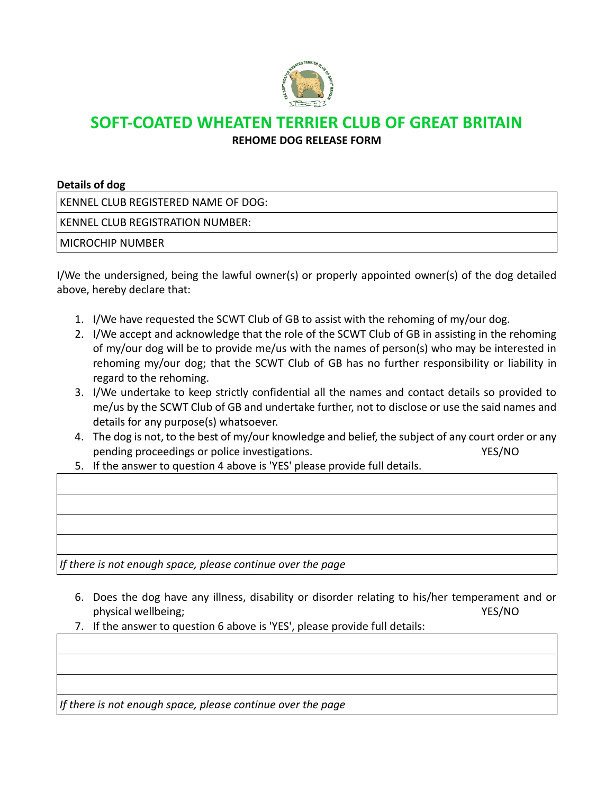

## **SOFT-COATED WHEATEN TERRIER CLUB OF GREAT BRITAIN**

**REHOME DOG RELEASE FORM**

| Details of dog |  |  |  |
|----------------|--|--|--|
|----------------|--|--|--|

KENNEL CLUB REGISTERED NAME OF DOG:

KENNEL CLUB REGISTRATION NUMBER:

MICROCHIP NUMBER

I/We the undersigned, being the lawful owner(s) or properly appointed owner(s) of the dog detailed above, hereby declare that:

- 1. I/We have requested the SCWT Club of GB to assist with the rehoming of my/our dog.
- 2. I/We accept and acknowledge that the role of the SCWT Club of GB in assisting in the rehoming of my/our dog will be to provide me/us with the names of person(s) who may be interested in rehoming my/our dog; that the SCWT Club of GB has no further responsibility or liability in regard to the rehoming.
- 3. I/We undertake to keep strictly confidential all the names and contact details so provided to me/us by the SCWT Club of GB and undertake further, not to disclose or use the said names and details for any purpose(s) whatsoever.
- 4. The dog is not, to the best of my/our knowledge and belief, the subject of any court order or any pending proceedings or police investigations. The matrix of the MYES/NO
- 5. If the answer to question 4 above is 'YES' please provide full details.

*If there is not enough space, please continue over the page*

- 6. Does the dog have any illness, disability or disorder relating to his/her temperament and or physical wellbeing; The Contract of the Contract of the VES/NO
- 7. If the answer to question 6 above is 'YES', please provide full details:

*If there is not enough space, please continue over the page*